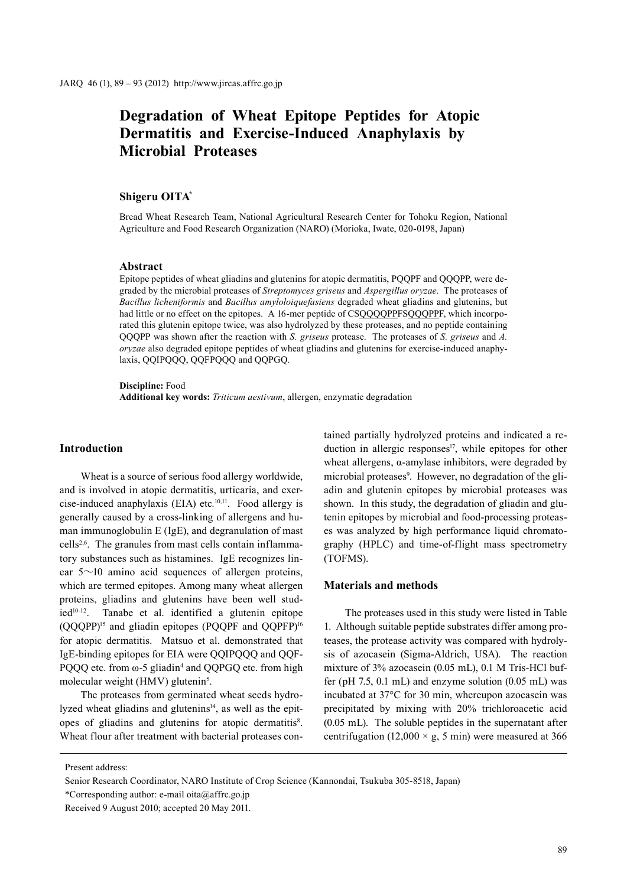# **Degradation of Wheat Epitope Peptides for Atopic Dermatitis and Exercise-Induced Anaphylaxis by Microbial Proteases**

## **Shigeru OITA\***

Bread Wheat Research Team, National Agricultural Research Center for Tohoku Region, National Agriculture and Food Research Organization (NARO) (Morioka, Iwate, 020-0198, Japan)

#### **Abstract**

Epitope peptides of wheat gliadins and glutenins for atopic dermatitis, PQQPF and QQQPP, were degraded by the microbial proteases of *Streptomyces griseus* and *Aspergillus oryzae*. The proteases of *Bacillus licheniformis* and *Bacillus amyloloiquefasiens* degraded wheat gliadins and glutenins, but had little or no effect on the epitopes. A 16-mer peptide of CSQQQQPPFSQQQPPF, which incorporated this glutenin epitope twice, was also hydrolyzed by these proteases, and no peptide containing QQQPP was shown after the reaction with *S. griseus* protease. The proteases of *S. griseus* and *A. oryzae* also degraded epitope peptides of wheat gliadins and glutenins for exercise-induced anaphylaxis, QQIPQQQ, QQFPQQQ and QQPGQ.

**Discipline:** Food **Additional key words:** *Triticum aestivum*, allergen, enzymatic degradation

# **Introduction**

Wheat is a source of serious food allergy worldwide, and is involved in atopic dermatitis, urticaria, and exercise-induced anaphylaxis (EIA) etc*.* 10,11. Food allergy is generally caused by a cross-linking of allergens and human immunoglobulin E (IgE), and degranulation of mast cells<sup>2,6</sup>. The granules from mast cells contain inflammatory substances such as histamines. IgE recognizes linear  $5 \sim 10$  amino acid sequences of allergen proteins, which are termed epitopes. Among many wheat allergen proteins, gliadins and glutenins have been well stud $ied<sup>10-12</sup>$ . Tanabe et al. identified a glutenin epitope (QQQPP)15 and gliadin epitopes (PQQPF and QQPFP)16 for atopic dermatitis. Matsuo et al. demonstrated that IgE-binding epitopes for EIA were QQIPQQQ and QQF-PQQQ etc. from ω-5 gliadin<sup>4</sup> and QQPGQ etc. from high molecular weight (HMV) glutenin<sup>5</sup>.

The proteases from germinated wheat seeds hydrolyzed wheat gliadins and glutenins<sup>14</sup>, as well as the epitopes of gliadins and glutenins for atopic dermatitis<sup>8</sup>. Wheat flour after treatment with bacterial proteases contained partially hydrolyzed proteins and indicated a reduction in allergic responses<sup>17</sup>, while epitopes for other wheat allergens, α-amylase inhibitors, were degraded by microbial proteases<sup>9</sup>. However, no degradation of the gliadin and glutenin epitopes by microbial proteases was shown. In this study, the degradation of gliadin and glutenin epitopes by microbial and food-processing proteases was analyzed by high performance liquid chromatography (HPLC) and time-of-flight mass spectrometry (TOFMS).

## **Materials and methods**

The proteases used in this study were listed in Table 1. Although suitable peptide substrates differ among proteases, the protease activity was compared with hydrolysis of azocasein (Sigma-Aldrich, USA). The reaction mixture of 3% azocasein (0.05 mL), 0.1 M Tris-HCl buffer (pH 7.5, 0.1 mL) and enzyme solution (0.05 mL) was incubated at 37°C for 30 min, whereupon azocasein was precipitated by mixing with 20% trichloroacetic acid (0.05 mL). The soluble peptides in the supernatant after centrifugation (12,000  $\times$  g, 5 min) were measured at 366

Present address:

Senior Research Coordinator, NARO Institute of Crop Science (Kannondai, Tsukuba 305-8518, Japan)

<sup>\*</sup>Corresponding author: e-mail oita@affrc.go.jp

Received 9 August 2010; accepted 20 May 2011.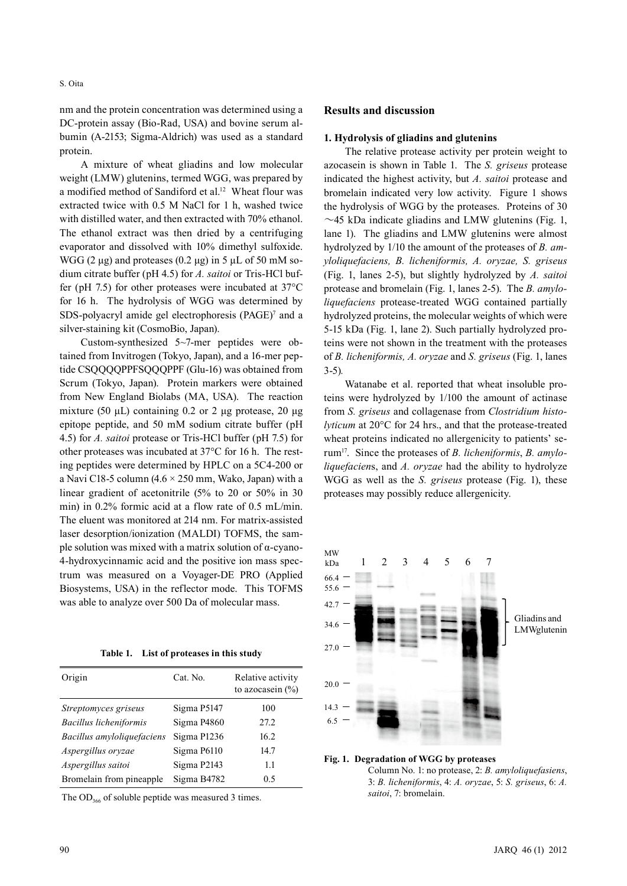S. Oita

nm and the protein concentration was determined using a DC-protein assay (Bio-Rad, USA) and bovine serum albumin (A-2153; Sigma-Aldrich) was used as a standard protein.

A mixture of wheat gliadins and low molecular weight (LMW) glutenins, termed WGG, was prepared by a modified method of Sandiford et al.12 Wheat flour was extracted twice with 0.5 M NaCl for 1 h, washed twice with distilled water, and then extracted with 70% ethanol. The ethanol extract was then dried by a centrifuging evaporator and dissolved with 10% dimethyl sulfoxide. WGG (2 μg) and proteases (0.2 μg) in 5 μL of 50 mM sodium citrate buffer (pH 4.5) for *A. saitoi* or Tris-HCl buffer (pH 7.5) for other proteases were incubated at 37°C for 16 h. The hydrolysis of WGG was determined by SDS-polyacryl amide gel electrophoresis  $(PAGE)^7$  and a silver-staining kit (CosmoBio, Japan).

Custom-synthesized 5~7-mer peptides were obtained from Invitrogen (Tokyo, Japan), and a 16-mer peptide CSQQQQPPFSQQQPPF (Glu-16) was obtained from Scrum (Tokyo, Japan). Protein markers were obtained from New England Biolabs (MA, USA). The reaction mixture (50  $\mu$ L) containing 0.2 or 2  $\mu$ g protease, 20  $\mu$ g epitope peptide, and 50 mM sodium citrate buffer (pH 4.5) for *A. saitoi* protease or Tris-HCl buffer (pH 7.5) for other proteases was incubated at 37°C for 16 h. The resting peptides were determined by HPLC on a 5C4-200 or a Navi C18-5 column (4.6  $\times$  250 mm, Wako, Japan) with a linear gradient of acetonitrile (5% to 20 or 50% in 30 min) in 0.2% formic acid at a flow rate of 0.5 mL/min. The eluent was monitored at 214 nm. For matrix-assisted laser desorption/ionization (MALDI) TOFMS, the sample solution was mixed with a matrix solution of α-cyano-4-hydroxycinnamic acid and the positive ion mass spectrum was measured on a Voyager-DE PRO (Applied Biosystems, USA) in the reflector mode. This TOFMS was able to analyze over 500 Da of molecular mass.

**Table 1. List of proteases in this study**

| Origin                     | Cat. No.    | Relative activity<br>to azocasein $(\% )$ |
|----------------------------|-------------|-------------------------------------------|
| Streptomyces griseus       | Sigma P5147 | 100                                       |
| Bacillus licheniformis     | Sigma P4860 | 27.2                                      |
| Bacillus amyloliquefaciens | Sigma P1236 | 16.2                                      |
| Aspergillus oryzae         | Sigma P6110 | 14.7                                      |
| Aspergillus saitoi         | Sigma P2143 | 1.1                                       |
| Bromelain from pineapple   | Sigma B4782 | 0.5                                       |

The  $OD_{366}$  of soluble peptide was measured 3 times.

### **1. Hydrolysis of gliadins and glutenins**

The relative protease activity per protein weight to azocasein is shown in Table 1. The *S. griseus* protease indicated the highest activity, but *A. saitoi* protease and bromelain indicated very low activity. Figure 1 shows the hydrolysis of WGG by the proteases. Proteins of 30  $\sim$ 45 kDa indicate gliadins and LMW glutenins (Fig. 1, lane 1). The gliadins and LMW glutenins were almost hydrolyzed by 1/10 the amount of the proteases of *B. amyloliquefaciens, B. licheniformis, A. oryzae, S. griseus* (Fig. 1, lanes 2-5), but slightly hydrolyzed by *A. saitoi* protease and bromelain (Fig. 1, lanes 2-5). The *B. amyloliquefaciens* protease-treated WGG contained partially hydrolyzed proteins, the molecular weights of which were 5-15 kDa (Fig. 1, lane 2). Such partially hydrolyzed proteins were not shown in the treatment with the proteases of *B. licheniformis, A. oryzae* and *S. griseus* (Fig. 1, lanes 3-5)*.*

Watanabe et al. reported that wheat insoluble proteins were hydrolyzed by 1/100 the amount of actinase from *S. griseus* and collagenase from *Clostridium histolyticum* at 20°C for 24 hrs., and that the protease-treated wheat proteins indicated no allergenicity to patients' serum17. Since the proteases of *B. licheniformis*, *B. amyloliquefacien*s, and *A. oryzae* had the ability to hydrolyze WGG as well as the *S. griseus* protease (Fig. 1), these proteases may possibly reduce allergenicity.



#### **Fig. 1. Degradation of WGG by proteases** Column No. 1: no protease, 2: *B. amyloliquefasiens*, 3: *B. licheniformis*, 4: *A. oryzae*, 5: *S. griseus*, 6: *A. saitoi*, 7: bromelain.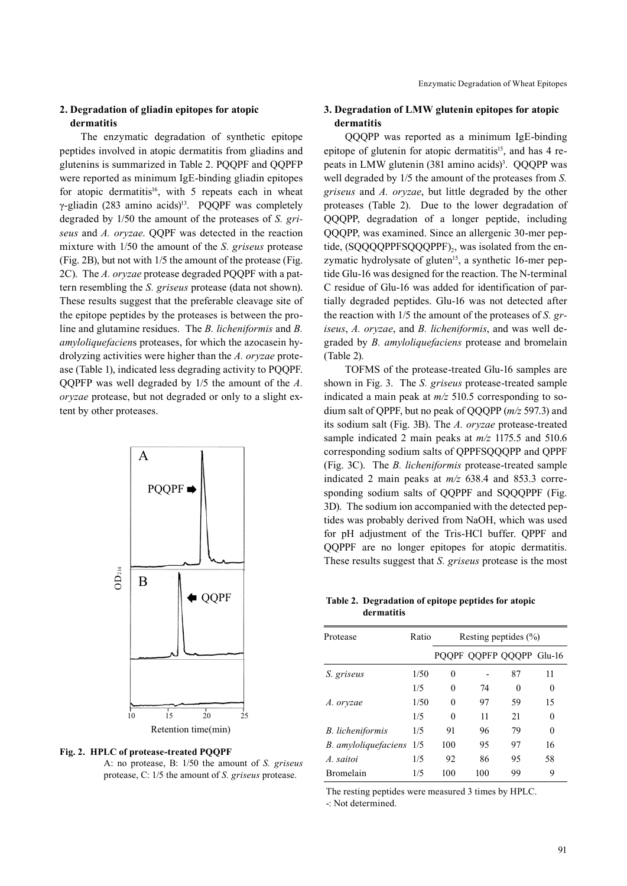# **2. Degradation of gliadin epitopes for atopic dermatitis**

The enzymatic degradation of synthetic epitope peptides involved in atopic dermatitis from gliadins and glutenins is summarized in Table 2. PQQPF and QQPFP were reported as minimum IgE-binding gliadin epitopes for atopic dermatitis<sup>16</sup>, with 5 repeats each in wheat γ-gliadin (283 amino acids)<sup>13</sup>. PQQPF was completely degraded by 1/50 the amount of the proteases of *S. griseus* and *A. oryzae*. QQPF was detected in the reaction mixture with 1/50 the amount of the *S. griseus* protease (Fig. 2B), but not with 1/5 the amount of the protease (Fig. 2C). The *A. oryzae* protease degraded PQQPF with a pattern resembling the *S. griseus* protease (data not shown). These results suggest that the preferable cleavage site of the epitope peptides by the proteases is between the proline and glutamine residues. The *B. licheniformis* and *B. amyloliquefacien*s proteases, for which the azocasein hydrolyzing activities were higher than the *A. oryzae* protease (Table 1), indicated less degrading activity to PQQPF. QQPFP was well degraded by 1/5 the amount of the *A. oryzae* protease, but not degraded or only to a slight extent by other proteases.



**Fig. 2. HPLC of protease-treated PQQPF**

A: no protease, B: 1/50 the amount of *S. griseus* protease, C: 1/5 the amount of *S. griseus* protease.

# **3. Degradation of LMW glutenin epitopes for atopic dermatitis**

QQQPP was reported as a minimum IgE-binding epitope of glutenin for atopic dermatitis<sup>15</sup>, and has 4 repeats in LMW glutenin (381 amino acids)<sup>3</sup>. QQQPP was well degraded by 1/5 the amount of the proteases from *S. griseus* and *A. oryzae*, but little degraded by the other proteases (Table 2). Due to the lower degradation of QQQPP, degradation of a longer peptide, including QQQPP, was examined. Since an allergenic 30-mer peptide, (SQQQQPPFSQQQPPF)<sub>2</sub>, was isolated from the enzymatic hydrolysate of gluten<sup>15</sup>, a synthetic 16-mer peptide Glu-16 was designed for the reaction. The N-terminal C residue of Glu-16 was added for identification of partially degraded peptides. Glu-16 was not detected after the reaction with 1/5 the amount of the proteases of *S. griseus*, *A. oryzae*, and *B. licheniformis*, and was well degraded by *B. amyloliquefaciens* protease and bromelain (Table 2).

TOFMS of the protease-treated Glu-16 samples are shown in Fig. 3. The *S. griseus* protease-treated sample indicated a main peak at *m/z* 510.5 corresponding to sodium salt of QPPF, but no peak of QQQPP (*m/z* 597.3) and its sodium salt (Fig. 3B). The *A. oryzae* protease-treated sample indicated 2 main peaks at *m/z* 1175.5 and 510.6 corresponding sodium salts of QPPFSQQQPP and QPPF (Fig. 3C). The *B. licheniformis* protease-treated sample indicated 2 main peaks at *m/z* 638.4 and 853.3 corresponding sodium salts of OOPPF and SOOOPPF (Fig. 3D). The sodium ion accompanied with the detected peptides was probably derived from NaOH, which was used for pH adjustment of the Tris-HCl buffer. QPPF and QQPPF are no longer epitopes for atopic dermatitis. These results suggest that *S. griseus* protease is the most

**Table 2. Degradation of epitope peptides for atopic dermatitis**

| Protease             | Ratio | Resting peptides $(\% )$ |     |                          |          |
|----------------------|-------|--------------------------|-----|--------------------------|----------|
|                      |       |                          |     | PQQPF QQPFP QQQPP Glu-16 |          |
| S. griseus           | 1/50  | $\theta$                 |     | 87                       | 11       |
|                      | 1/5   | $\theta$                 | 74  | 0                        | $\theta$ |
| A. oryzae            | 1/50  | $\theta$                 | 97  | 59                       | 15       |
|                      | 1/5   | $\theta$                 | 11  | 21                       | 0        |
| B. licheniformis     | 1/5   | 91                       | 96  | 79                       | $\theta$ |
| B. amyloliquefaciens | 1/5   | 100                      | 95  | 97                       | 16       |
| A. saitoi            | 1/5   | 92                       | 86  | 95                       | 58       |
| <b>Bromelain</b>     | 1/5   | 100                      | 100 | 99                       | 9        |

The resting peptides were measured 3 times by HPLC.

-: Not determined.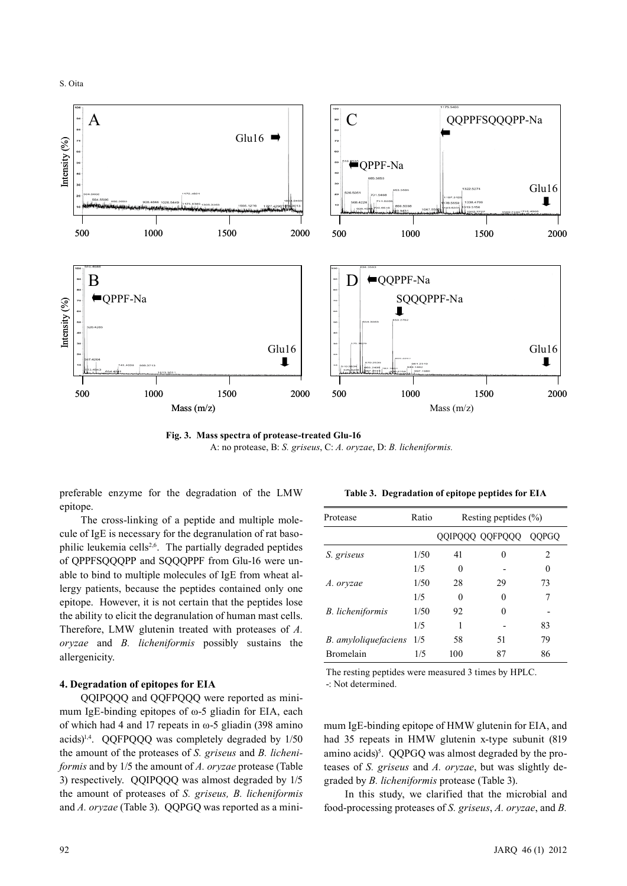S. Oita



**Fig. 3. Mass spectra of protease-treated Glu-16** A: no protease, B: *S. griseus*, C: *A. oryzae*, D: *B. licheniformis.*

preferable enzyme for the degradation of the LMW epitope.

The cross-linking of a peptide and multiple molecule of IgE is necessary for the degranulation of rat basophilic leukemia cells2,6. The partially degraded peptides of QPPFSQQQPP and SQQQPPF from Glu-16 were unable to bind to multiple molecules of IgE from wheat allergy patients, because the peptides contained only one epitope. However, it is not certain that the peptides lose the ability to elicit the degranulation of human mast cells. Therefore, LMW glutenin treated with proteases of *A. oryzae* and *B. licheniformis* possibly sustains the allergenicity.

# **4. Degradation of epitopes for EIA**

QQIPQQQ and QQFPQQQ were reported as minimum IgE-binding epitopes of  $\omega$ -5 gliadin for EIA, each of which had 4 and 17 repeats in  $\omega$ -5 gliadin (398 amino acids)1,4. QQFPQQQ was completely degraded by 1/50 the amount of the proteases of *S. griseus* and *B. licheniformis* and by 1/5 the amount of *A. oryzae* protease (Table 3) respectively. QQIPQQQ was almost degraded by 1/5 the amount of proteases of *S. griseus, B. licheniformis* and *A. oryzae* (Table 3). QQPGQ was reported as a mini-

**Table 3. Degradation of epitope peptides for EIA**

| Protease             | Ratio | Resting peptides $(\% )$ |                 |                |  |
|----------------------|-------|--------------------------|-----------------|----------------|--|
|                      |       |                          | QQIPQQQ QQFPQQQ | <b>OOPGO</b>   |  |
| S. griseus           | 1/50  | 41                       | 0               | $\mathfrak{D}$ |  |
|                      | 1/5   | 0                        |                 | 0              |  |
| A. oryzae            | 1/50  | 28                       | 29              | 73             |  |
|                      | 1/5   | 0                        |                 | 7              |  |
| B. licheniformis     | 1/50  | 92                       |                 |                |  |
|                      | 1/5   |                          |                 | 83             |  |
| B. amyloliquefaciens | 1/5   | 58                       | 51              | 79             |  |
| Bromelain            | 1/5   | 100                      | 87              | 86             |  |

The resting peptides were measured 3 times by HPLC.

-: Not determined.

mum IgE-binding epitope of HMW glutenin for EIA, and had 35 repeats in HMW glutenin x-type subunit (819 amino acids)<sup>5</sup>. QQPGQ was almost degraded by the proteases of *S. griseus* and *A. oryzae*, but was slightly degraded by *B. licheniformis* protease (Table 3).

In this study, we clarified that the microbial and food-processing proteases of *S. griseus*, *A. oryzae*, and *B.*